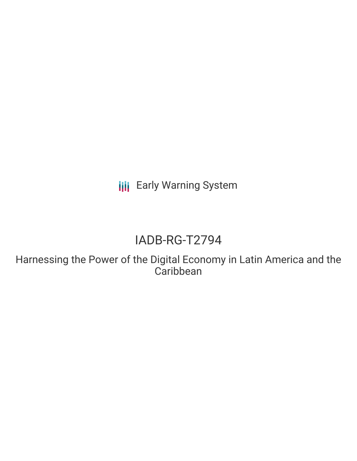**III** Early Warning System

# IADB-RG-T2794

Harnessing the Power of the Digital Economy in Latin America and the **Caribbean**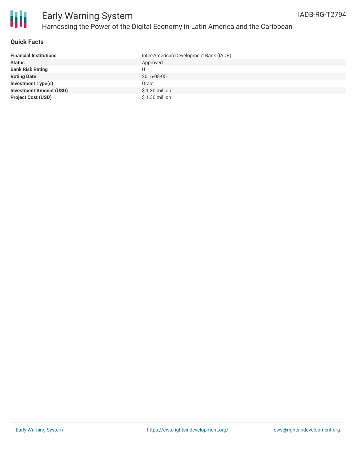

#### **Quick Facts**

| <b>Financial Institutions</b>  | Inter-American Development Bank (IADB) |
|--------------------------------|----------------------------------------|
| <b>Status</b>                  | Approved                               |
| <b>Bank Risk Rating</b>        | U                                      |
| <b>Voting Date</b>             | 2016-08-05                             |
| <b>Investment Type(s)</b>      | Grant                                  |
| <b>Investment Amount (USD)</b> | $$1.30$ million                        |
| <b>Project Cost (USD)</b>      | \$1.30 million                         |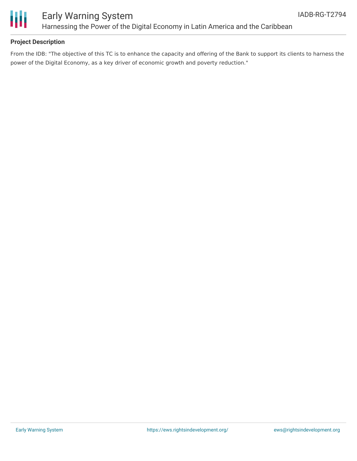

### Early Warning System Harnessing the Power of the Digital Economy in Latin America and the Caribbean

#### **Project Description**

From the IDB: "The objective of this TC is to enhance the capacity and offering of the Bank to support its clients to harness the power of the Digital Economy, as a key driver of economic growth and poverty reduction."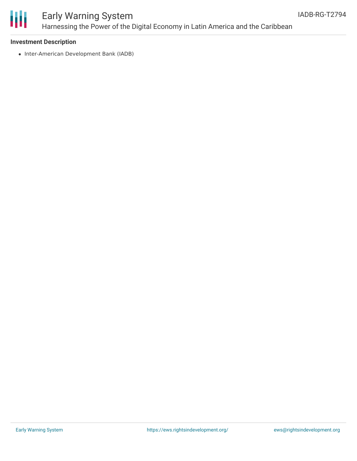

# Early Warning System Harnessing the Power of the Digital Economy in Latin America and the Caribbean

#### **Investment Description**

• Inter-American Development Bank (IADB)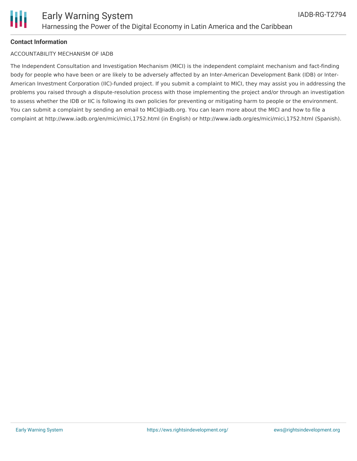

#### **Contact Information**

#### ACCOUNTABILITY MECHANISM OF IADB

The Independent Consultation and Investigation Mechanism (MICI) is the independent complaint mechanism and fact-finding body for people who have been or are likely to be adversely affected by an Inter-American Development Bank (IDB) or Inter-American Investment Corporation (IIC)-funded project. If you submit a complaint to MICI, they may assist you in addressing the problems you raised through a dispute-resolution process with those implementing the project and/or through an investigation to assess whether the IDB or IIC is following its own policies for preventing or mitigating harm to people or the environment. You can submit a complaint by sending an email to MICI@iadb.org. You can learn more about the MICI and how to file a complaint at http://www.iadb.org/en/mici/mici,1752.html (in English) or http://www.iadb.org/es/mici/mici,1752.html (Spanish).